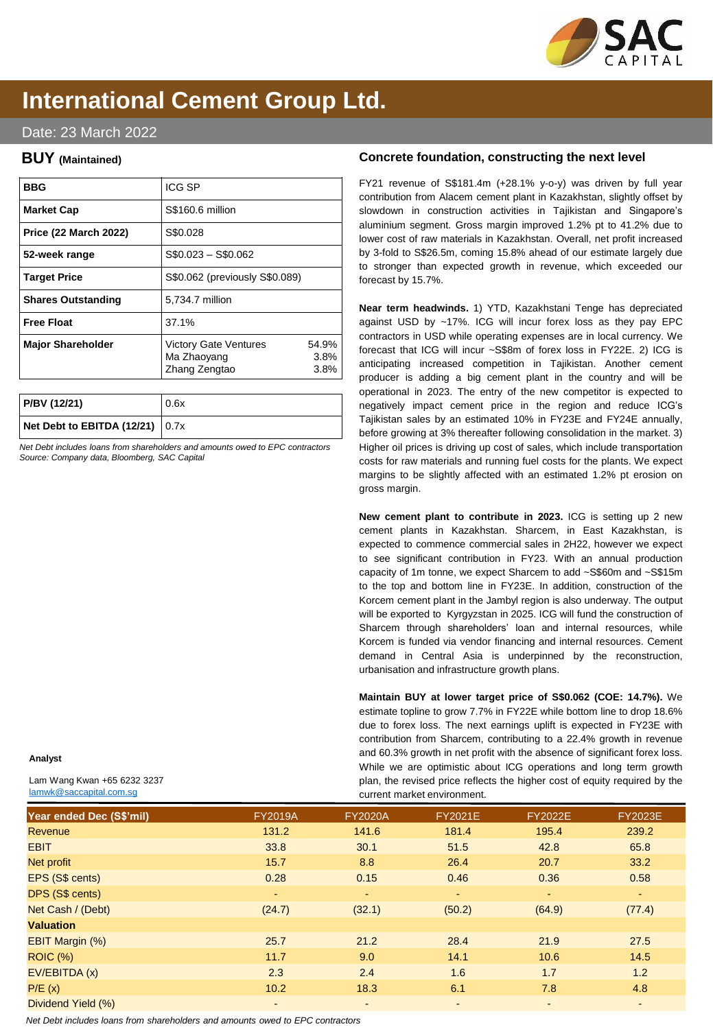

# **International Cement Group Ltd.**

## Date: 23 March 2022

## **BUY (Maintained)**

| ICG SP                                                       |                       |
|--------------------------------------------------------------|-----------------------|
| S\$160.6 million                                             |                       |
| S\$0.028                                                     |                       |
| $$0.023 - $0.062$                                            |                       |
| S\$0.062 (previously S\$0.089)                               |                       |
| 5,734.7 million                                              |                       |
| 37.1%                                                        |                       |
| <b>Victory Gate Ventures</b><br>Ma Zhaoyang<br>Zhang Zengtao | 54.9%<br>3.8%<br>3.8% |
|                                                              |                       |

| P/BV (12/21)                      | 0.6x |
|-----------------------------------|------|
| Net Debt to EBITDA $(12/21)$ 0.7x |      |

*Net Debt includes loans from shareholders and amounts owed to EPC contractors Source: Company data, Bloomberg, SAC Capital*

## **Analyst**

Lam Wang Kwan +65 6232 3237 [lamwk@saccapital.com.sg](mailto:tchua@saccapital.com.sg)

### **Concrete foundation, constructing the next level**

FY21 revenue of S\$181.4m (+28.1% y-o-y) was driven by full year contribution from Alacem cement plant in Kazakhstan, slightly offset by slowdown in construction activities in Tajikistan and Singapore's aluminium segment. Gross margin improved 1.2% pt to 41.2% due to lower cost of raw materials in Kazakhstan. Overall, net profit increased by 3-fold to S\$26.5m, coming 15.8% ahead of our estimate largely due to stronger than expected growth in revenue, which exceeded our forecast by 15.7%.

**Near term headwinds.** 1) YTD, Kazakhstani Tenge has depreciated against USD by ~17%. ICG will incur forex loss as they pay EPC contractors in USD while operating expenses are in local currency. We forecast that ICG will incur ~S\$8m of forex loss in FY22E. 2) ICG is anticipating increased competition in Tajikistan. Another cement producer is adding a big cement plant in the country and will be operational in 2023. The entry of the new competitor is expected to negatively impact cement price in the region and reduce ICG's Tajikistan sales by an estimated 10% in FY23E and FY24E annually, before growing at 3% thereafter following consolidation in the market. 3) Higher oil prices is driving up cost of sales, which include transportation costs for raw materials and running fuel costs for the plants. We expect margins to be slightly affected with an estimated 1.2% pt erosion on gross margin.

**New cement plant to contribute in 2023.** ICG is setting up 2 new cement plants in Kazakhstan. Sharcem, in East Kazakhstan, is expected to commence commercial sales in 2H22, however we expect to see significant contribution in FY23. With an annual production capacity of 1m tonne, we expect Sharcem to add ~S\$60m and ~S\$15m to the top and bottom line in FY23E. In addition, construction of the Korcem cement plant in the Jambyl region is also underway. The output will be exported to Kyrgyzstan in 2025. ICG will fund the construction of Sharcem through shareholders' loan and internal resources, while Korcem is funded via vendor financing and internal resources. Cement demand in Central Asia is underpinned by the reconstruction, urbanisation and infrastructure growth plans.

**Maintain BUY at lower target price of S\$0.062 (COE: 14.7%).** We estimate topline to grow 7.7% in FY22E while bottom line to drop 18.6% due to forex loss. The next earnings uplift is expected in FY23E with contribution from Sharcem, contributing to a 22.4% growth in revenue and 60.3% growth in net profit with the absence of significant forex loss. While we are optimistic about ICG operations and long term growth plan, the revised price reflects the higher cost of equity required by the current market environment.

| Year ended Dec (S\$'mil) | <b>FY2019A</b> | <b>FY2020A</b> | <b>FY2021E</b> | <b>FY2022E</b> | <b>FY2023E</b> |
|--------------------------|----------------|----------------|----------------|----------------|----------------|
| <b>Revenue</b>           | 131.2          | 141.6          | 181.4          | 195.4          | 239.2          |
| <b>EBIT</b>              | 33.8           | 30.1           | 51.5           | 42.8           | 65.8           |
| Net profit               | 15.7           | 8.8            | 26.4           | 20.7           | 33.2           |
| EPS (S\$ cents)          | 0.28           | 0.15           | 0.46           | 0.36           | 0.58           |
| DPS (S\$ cents)          | ٠              | $\sim$         | ٠              |                | ٠              |
| Net Cash / (Debt)        | (24.7)         | (32.1)         | (50.2)         | (64.9)         | (77.4)         |
| <b>Valuation</b>         |                |                |                |                |                |
| <b>EBIT Margin (%)</b>   | 25.7           | 21.2           | 28.4           | 21.9           | 27.5           |
| <b>ROIC (%)</b>          | 11.7           | 9.0            | 14.1           | 10.6           | 14.5           |
| EV/EBITDA (x)            | 2.3            | 2.4            | 1.6            | 1.7            | 1.2            |
| P/E(x)                   | 10.2           | 18.3           | 6.1            | 7.8            | 4.8            |
| Dividend Yield (%)       |                | ٠              | ٠              |                | ٠              |

*Net Debt includes loans from shareholders and amounts owed to EPC contractors*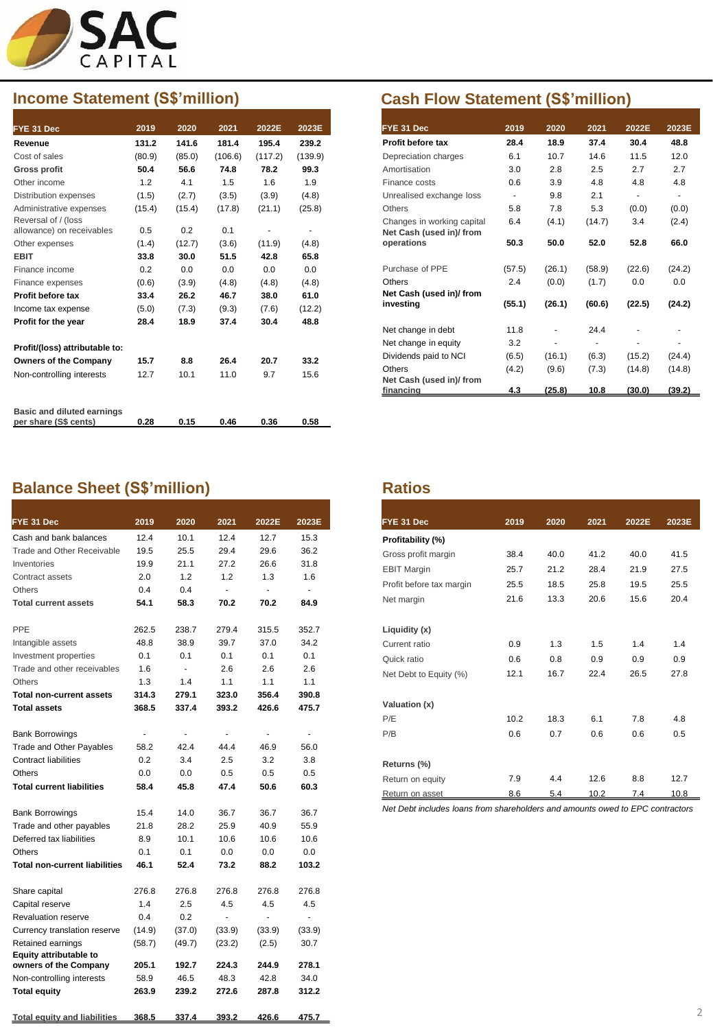

| FYE 31 Dec                        | 2019   | 2020   | 2021    | 2022E   | 2023E   |
|-----------------------------------|--------|--------|---------|---------|---------|
| Revenue                           | 131.2  | 141.6  | 181.4   | 195.4   | 239.2   |
| Cost of sales                     | (80.9) | (85.0) | (106.6) | (117.2) | (139.9) |
| <b>Gross profit</b>               | 50.4   | 56.6   | 74.8    | 78.2    | 99.3    |
| Other income                      | 1.2    | 4.1    | 1.5     | 1.6     | 1.9     |
| <b>Distribution expenses</b>      | (1.5)  | (2.7)  | (3.5)   | (3.9)   | (4.8)   |
| Administrative expenses           | (15.4) | (15.4) | (17.8)  | (21.1)  | (25.8)  |
| Reversal of / (loss               |        |        |         |         |         |
| allowance) on receivables         | 0.5    | 0.2    | 0.1     |         |         |
| Other expenses                    | (1.4)  | (12.7) | (3.6)   | (11.9)  | (4.8)   |
| <b>EBIT</b>                       | 33.8   | 30.0   | 51.5    | 42.8    | 65.8    |
| Finance income                    | 0.2    | 0.0    | 0.0     | 0.0     | 0.0     |
| Finance expenses                  | (0.6)  | (3.9)  | (4.8)   | (4.8)   | (4.8)   |
| Profit before tax                 | 33.4   | 26.2   | 46.7    | 38.0    | 61.0    |
| Income tax expense                | (5.0)  | (7.3)  | (9.3)   | (7.6)   | (12.2)  |
| Profit for the year               | 28.4   | 18.9   | 37.4    | 30.4    | 48.8    |
| Profit/(loss) attributable to:    |        |        |         |         |         |
| <b>Owners of the Company</b>      | 15.7   | 8.8    | 26.4    | 20.7    | 33.2    |
| Non-controlling interests         | 12.7   | 10.1   | 11.0    | 9.7     | 15.6    |
| <b>Basic and diluted earnings</b> |        |        |         |         |         |
| per share (S\$ cents)             | 0.28   | 0.15   | 0.46    | 0.36    | 0.58    |

## **Balance Sheet (S\$'million) Ratios**

| 2019           | 2020           | 2021           | 2022E  | 2023E                    |
|----------------|----------------|----------------|--------|--------------------------|
| 12.4           | 10.1           | 12.4           | 12.7   | 15.3                     |
| 19.5           | 25.5           | 29.4           | 29.6   | 36.2                     |
| 19.9           | 21.1           | 27.2           | 26.6   | 31.8                     |
| 2.0            | 1.2            | 1.2            | 1.3    | 1.6                      |
| 0.4            | 0.4            | ä,             | L,     | $\blacksquare$           |
| 54.1           | 58.3           | 70.2           | 70.2   | 84.9                     |
| 262.5          | 238.7          | 279.4          | 315.5  | 352.7                    |
| 48.8           | 38.9           | 39.7           | 37.0   | 34.2                     |
| 0.1            | 0.1            | 0.1            | 0.1    | 0.1                      |
| 1.6            | ÷.             | 2.6            | 2.6    | 2.6                      |
| 1.3            | 1.4            | 1.1            | 1.1    | 1.1                      |
| 314.3          | 279.1          | 323.0          | 356.4  | 390.8                    |
| 368.5          | 337.4          | 393.2          | 426.6  | 475.7                    |
| $\blacksquare$ | $\blacksquare$ | $\blacksquare$ | ٠      | $\overline{\phantom{a}}$ |
| 58.2           | 42.4           | 44.4           | 46.9   | 56.0                     |
| 0.2            | 3.4            | 2.5            | 3.2    | 3.8                      |
| 0.0            | 0.0            | 0.5            | 0.5    | 0.5                      |
| 58.4           | 45.8           | 47.4           | 50.6   | 60.3                     |
| 15.4           | 14.0           | 36.7           | 36.7   | 36.7                     |
| 21.8           | 28.2           | 25.9           | 40.9   | 55.9                     |
| 8.9            | 10.1           | 10.6           | 10.6   | 10.6                     |
| 0.1            | 0.1            | 0.0            | 0.0    | 0.0                      |
| 46.1           | 52.4           | 73.2           | 88.2   | 103.2                    |
| 276.8          | 276.8          | 276.8          | 276.8  | 276.8                    |
| 1.4            | 2.5            | 4.5            | 4.5    | 4.5                      |
| 0.4            | 0.2            | ÷.             | ÷.     | $\overline{a}$           |
| (14.9)         | (37.0)         | (33.9)         | (33.9) | (33.9)                   |
| (58.7)         | (49.7)         | (23.2)         | (2.5)  | 30.7                     |
| 205.1          | 192.7          | 224.3          | 244.9  | 278.1                    |
| 58.9           | 46.5           | 48.3           | 42.8   | 34.0                     |
| 263.9          | 239.2          | 272.6          | 287.8  | 312.2                    |
| 368.5          | 337.4          | 393.2          | 426.6  | 475.7                    |
|                |                |                |        |                          |

## **Income Statement (S\$'million) Cash Flow Statement (S\$'million)**

| FYE 31 Dec                 | 2019                     | 2020   | 2021   | 2022E                    | 2023E          |
|----------------------------|--------------------------|--------|--------|--------------------------|----------------|
| Profit before tax          | 28.4                     | 18.9   | 37.4   | 30.4                     | 48.8           |
| Depreciation charges       | 6.1                      | 10.7   | 14.6   | 11.5                     | 12.0           |
| Amortisation               | 3.0                      | 2.8    | 2.5    | 2.7                      | 2.7            |
| Finance costs              | 0.6                      | 3.9    | 4.8    | 4.8                      | 4.8            |
| Unrealised exchange loss   | $\overline{\phantom{a}}$ | 9.8    | 2.1    | $\overline{\phantom{a}}$ | $\blacksquare$ |
| <b>Others</b>              | 5.8                      | 7.8    | 5.3    | (0.0)                    | (0.0)          |
| Changes in working capital | 6.4                      | (4.1)  | (14.7) | 3.4                      | (2.4)          |
| Net Cash (used in)/from    |                          |        |        |                          |                |
| operations                 | 50.3                     | 50.0   | 52.0   | 52.8                     | 66.0           |
|                            |                          |        |        |                          |                |
| Purchase of PPE            | (57.5)                   | (26.1) | (58.9) | (22.6)                   | (24.2)         |
| Others                     | 2.4                      | (0.0)  | (1.7)  | 0.0                      | 0.0            |
| Net Cash (used in)/ from   |                          |        |        |                          |                |
| investing                  | (55.1)                   | (26.1) | (60.6) | (22.5)                   | (24.2)         |
| Net change in debt         | 11.8                     |        | 24.4   |                          |                |
| Net change in equity       | 3.2                      |        |        |                          |                |
|                            |                          |        |        |                          |                |
| Dividends paid to NCI      | (6.5)                    | (16.1) | (6.3)  | (15.2)                   | (24.4)         |
| <b>Others</b>              | (4.2)                    | (9.6)  | (7.3)  | (14.8)                   | (14.8)         |
| Net Cash (used in)/ from   |                          |        |        |                          |                |
| financing                  | 4.3                      | (25.8) | 10.8   | (30.0)                   | (39.2)         |

| FYE 31 Dec               | 2019 | 2020 | 2021 | 2022E | 2023E |
|--------------------------|------|------|------|-------|-------|
| Profitability (%)        |      |      |      |       |       |
| Gross profit margin      | 38.4 | 40.0 | 41.2 | 40.0  | 41.5  |
| <b>EBIT Margin</b>       | 25.7 | 21.2 | 28.4 | 21.9  | 27.5  |
| Profit before tax margin | 25.5 | 18.5 | 25.8 | 19.5  | 25.5  |
| Net margin               | 21.6 | 13.3 | 20.6 | 15.6  | 20.4  |
| Liquidity (x)            |      |      |      |       |       |
| Current ratio            | 0.9  | 1.3  | 1.5  | 1.4   | 1.4   |
| Quick ratio              | 0.6  | 0.8  | 0.9  | 0.9   | 0.9   |
| Net Debt to Equity (%)   | 12.1 | 16.7 | 22.4 | 26.5  | 27.8  |
| Valuation (x)            |      |      |      |       |       |
| P/E                      | 10.2 | 18.3 | 6.1  | 7.8   | 4.8   |
| P/B                      | 0.6  | 0.7  | 0.6  | 0.6   | 0.5   |
| Returns (%)              |      |      |      |       |       |
| Return on equity         | 7.9  | 4.4  | 12.6 | 8.8   | 12.7  |
| Return on asset          | 8.6  | 5.4  | 10.2 | 7.4   | 10.8  |

*Net Debt includes loans from shareholders and amounts owed to EPC contractors*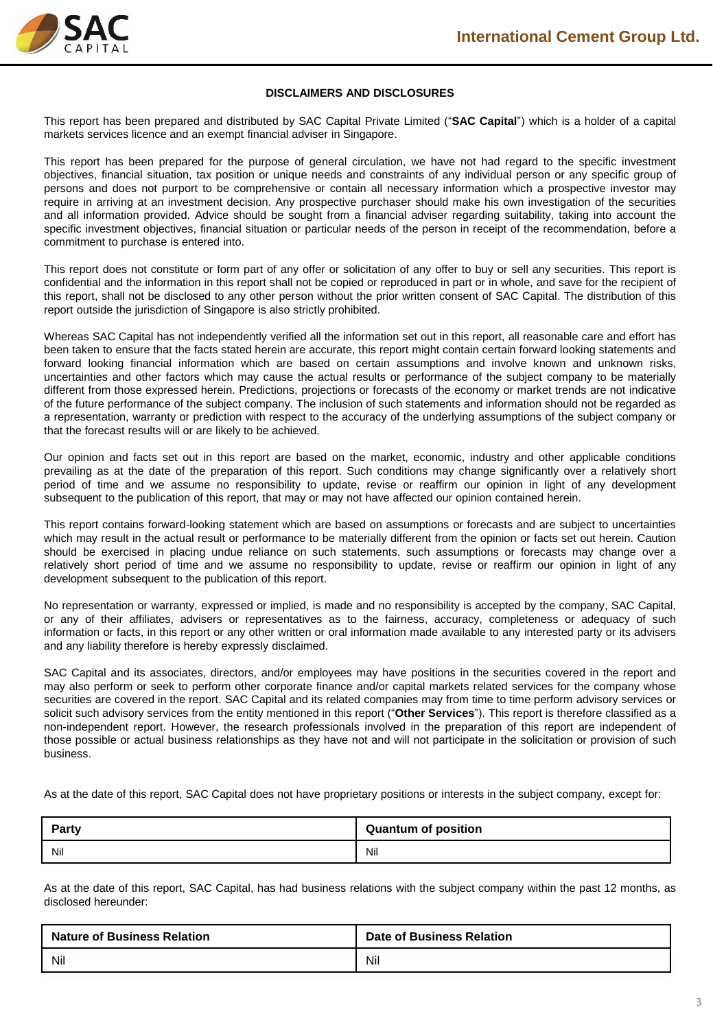

### **DISCLAIMERS AND DISCLOSURES**

This report has been prepared and distributed by SAC Capital Private Limited ("**SAC Capital**") which is a holder of a capital markets services licence and an exempt financial adviser in Singapore.

This report has been prepared for the purpose of general circulation, we have not had regard to the specific investment objectives, financial situation, tax position or unique needs and constraints of any individual person or any specific group of persons and does not purport to be comprehensive or contain all necessary information which a prospective investor may require in arriving at an investment decision. Any prospective purchaser should make his own investigation of the securities and all information provided. Advice should be sought from a financial adviser regarding suitability, taking into account the specific investment objectives, financial situation or particular needs of the person in receipt of the recommendation, before a commitment to purchase is entered into.

This report does not constitute or form part of any offer or solicitation of any offer to buy or sell any securities. This report is confidential and the information in this report shall not be copied or reproduced in part or in whole, and save for the recipient of this report, shall not be disclosed to any other person without the prior written consent of SAC Capital. The distribution of this report outside the jurisdiction of Singapore is also strictly prohibited.

Whereas SAC Capital has not independently verified all the information set out in this report, all reasonable care and effort has been taken to ensure that the facts stated herein are accurate, this report might contain certain forward looking statements and forward looking financial information which are based on certain assumptions and involve known and unknown risks, uncertainties and other factors which may cause the actual results or performance of the subject company to be materially different from those expressed herein. Predictions, projections or forecasts of the economy or market trends are not indicative of the future performance of the subject company. The inclusion of such statements and information should not be regarded as a representation, warranty or prediction with respect to the accuracy of the underlying assumptions of the subject company or that the forecast results will or are likely to be achieved.

Our opinion and facts set out in this report are based on the market, economic, industry and other applicable conditions prevailing as at the date of the preparation of this report. Such conditions may change significantly over a relatively short period of time and we assume no responsibility to update, revise or reaffirm our opinion in light of any development subsequent to the publication of this report, that may or may not have affected our opinion contained herein.

This report contains forward-looking statement which are based on assumptions or forecasts and are subject to uncertainties which may result in the actual result or performance to be materially different from the opinion or facts set out herein. Caution should be exercised in placing undue reliance on such statements. such assumptions or forecasts may change over a relatively short period of time and we assume no responsibility to update, revise or reaffirm our opinion in light of any development subsequent to the publication of this report.

No representation or warranty, expressed or implied, is made and no responsibility is accepted by the company, SAC Capital, or any of their affiliates, advisers or representatives as to the fairness, accuracy, completeness or adequacy of such information or facts, in this report or any other written or oral information made available to any interested party or its advisers and any liability therefore is hereby expressly disclaimed.

SAC Capital and its associates, directors, and/or employees may have positions in the securities covered in the report and may also perform or seek to perform other corporate finance and/or capital markets related services for the company whose securities are covered in the report. SAC Capital and its related companies may from time to time perform advisory services or solicit such advisory services from the entity mentioned in this report ("**Other Services**"). This report is therefore classified as a non-independent report. However, the research professionals involved in the preparation of this report are independent of those possible or actual business relationships as they have not and will not participate in the solicitation or provision of such business.

As at the date of this report, SAC Capital does not have proprietary positions or interests in the subject company, except for:

| <b>Party</b> | <b>Quantum of position</b> |
|--------------|----------------------------|
| Nil          | Nil                        |

As at the date of this report, SAC Capital, has had business relations with the subject company within the past 12 months, as disclosed hereunder:

| <b>Nature of Business Relation</b> | <b>Date of Business Relation</b> |
|------------------------------------|----------------------------------|
| Nil                                | Nil                              |